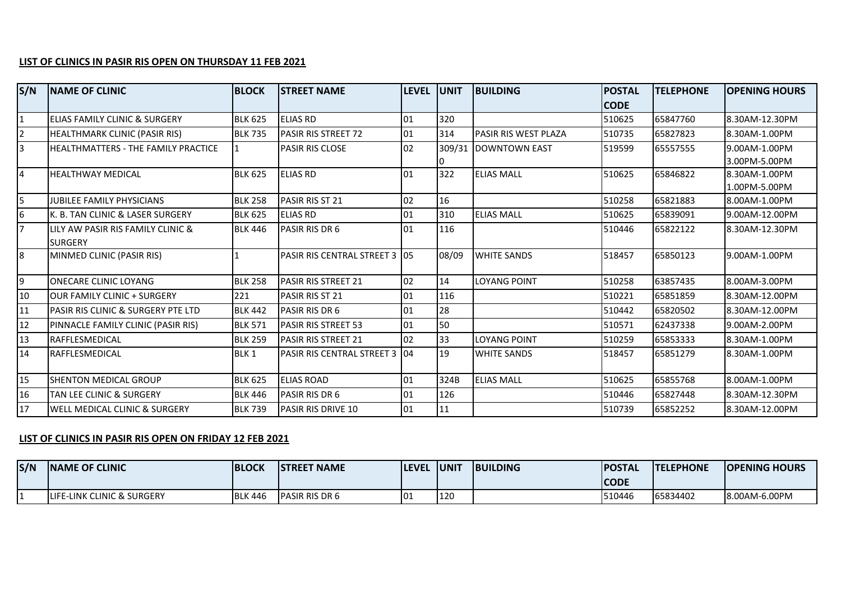## **LIST OF CLINICS IN PASIR RIS OPEN ON THURSDAY 11 FEB 2021**

| S/N | <b>NAME OF CLINIC</b>                    | <b>BLOCK</b>     | <b>STREET NAME</b>             | LEVEL UNIT |        | <b>BUILDING</b>      | <b>POSTAL</b> | <b>TELEPHONE</b> | <b>OPENING HOURS</b> |
|-----|------------------------------------------|------------------|--------------------------------|------------|--------|----------------------|---------------|------------------|----------------------|
|     |                                          |                  |                                |            |        |                      | <b>CODE</b>   |                  |                      |
|     | ELIAS FAMILY CLINIC & SURGERY            | <b>BLK 625</b>   | <b>ELIAS RD</b>                | 01         | 320    |                      | 510625        | 65847760         | 8.30AM-12.30PM       |
|     | HEALTHMARK CLINIC (PASIR RIS)            | <b>BLK 735</b>   | PASIR RIS STREET 72            | 01         | 314    | PASIR RIS WEST PLAZA | 510735        | 65827823         | 8.30AM-1.00PM        |
| 3   | HEALTHMATTERS - THE FAMILY PRACTICE      |                  | <b>PASIR RIS CLOSE</b>         | 02         | 309/31 | DOWNTOWN EAST        | 519599        | 65557555         | 9.00AM-1.00PM        |
|     |                                          |                  |                                |            |        |                      |               |                  | 3.00PM-5.00PM        |
| 4   | <b>HEALTHWAY MEDICAL</b>                 | <b>BLK 625</b>   | <b>ELIAS RD</b>                | 01         | 322    | <b>ELIAS MALL</b>    | 510625        | 65846822         | 8.30AM-1.00PM        |
|     |                                          |                  |                                |            |        |                      |               |                  | 1.00PM-5.00PM        |
| 5   | <b>JUBILEE FAMILY PHYSICIANS</b>         | <b>BLK 258</b>   | PASIR RIS ST 21                | 02         | 16     |                      | 510258        | 65821883         | 8.00AM-1.00PM        |
| 6   | K. B. TAN CLINIC & LASER SURGERY         | <b>BLK 625</b>   | <b>ELIAS RD</b>                | 01         | 310    | <b>ELIAS MALL</b>    | 510625        | 65839091         | 9.00AM-12.00PM       |
|     | LILY AW PASIR RIS FAMILY CLINIC &        | <b>BLK 446</b>   | PASIR RIS DR 6                 | 01         | 116    |                      | 510446        | 65822122         | 8.30AM-12.30PM       |
|     | <b>I</b> SURGERY                         |                  |                                |            |        |                      |               |                  |                      |
| 8   | MINMED CLINIC (PASIR RIS)                |                  | PASIR RIS CENTRAL STREET 3 05  |            | 08/09  | <b>WHITE SANDS</b>   | 518457        | 65850123         | 9.00AM-1.00PM        |
| 19  | <b>ONECARE CLINIC LOYANG</b>             | <b>BLK 258</b>   | <b>PASIR RIS STREET 21</b>     | 02         | 14     | LOYANG POINT         | 510258        | 63857435         | 8.00AM-3.00PM        |
| 10  | <b>OUR FAMILY CLINIC + SURGERY</b>       | 221              | PASIR RIS ST 21                | 01         | 116    |                      | 510221        | 65851859         | 8.30AM-12.00PM       |
|     |                                          |                  |                                |            | 28     |                      |               |                  |                      |
| 11  | IPASIR RIS CLINIC & SURGERY PTE LTD      | <b>BLK 442</b>   | PASIR RIS DR 6                 | 01         |        |                      | 510442        | 65820502         | 8.30AM-12.00PM       |
| 12  | PINNACLE FAMILY CLINIC (PASIR RIS)       | <b>BLK 571</b>   | <b>PASIR RIS STREET 53</b>     | 01         | 50     |                      | 510571        | 62437338         | 9.00AM-2.00PM        |
| 13  | <b>RAFFLESMEDICAL</b>                    | <b>BLK 259</b>   | <b>PASIR RIS STREET 21</b>     | 02         | 33     | <b>LOYANG POINT</b>  | 510259        | 65853333         | 8.30AM-1.00PM        |
| 14  | <b>RAFFLESMEDICAL</b>                    | BLK <sub>1</sub> | PASIR RIS CENTRAL STREET 3 104 |            | 19     | <b>WHITE SANDS</b>   | 518457        | 65851279         | 8.30AM-1.00PM        |
|     |                                          |                  |                                |            |        |                      |               |                  |                      |
| 15  | SHENTON MEDICAL GROUP                    | <b>BLK 625</b>   | <b>ELIAS ROAD</b>              | 01         | 324B   | <b>ELIAS MALL</b>    | 510625        | 65855768         | 8.00AM-1.00PM        |
| 16  | <b>TAN LEE CLINIC &amp; SURGERY</b>      | <b>BLK 446</b>   | PASIR RIS DR 6                 | 01         | 126    |                      | 510446        | 65827448         | 8.30AM-12.30PM       |
| 17  | <b>WELL MEDICAL CLINIC &amp; SURGERY</b> | <b>BLK 739</b>   | <b>PASIR RIS DRIVE 10</b>      | 01         | 11     |                      | 510739        | 65852252         | 8.30AM-12.00PM       |

## **LIST OF CLINICS IN PASIR RIS OPEN ON FRIDAY 12 FEB 2021**

| S/N | <b>INAME OF CLINIC</b>          | <b>BLOCK</b>   | <b>ISTREET NAME</b>    | <b>ILEVEL</b> | <b>JUNIT</b> | <b>BUILDING</b> | <b>POSTAL</b><br><b>CODE</b> | <b>ITELEPHONE</b> | <b>OPENING HOURS</b> |
|-----|---------------------------------|----------------|------------------------|---------------|--------------|-----------------|------------------------------|-------------------|----------------------|
|     | ELINK CLINIC & SURGERY<br>ILIF! | <b>BLK 446</b> | <b>IPASIR RIS DR 6</b> | IO1           | 112<br>LLZU  |                 | 510446                       | 65834402          | 8.00AM-6.00PM        |